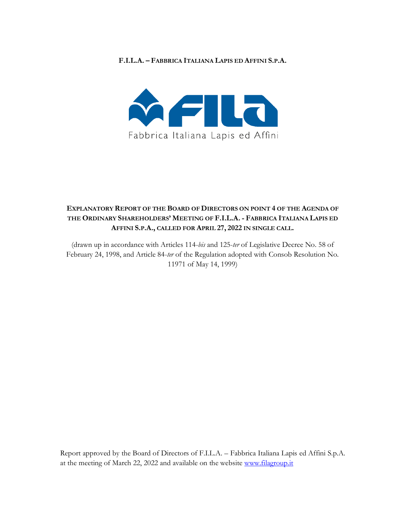#### **F.I.L.A. – FABBRICA ITALIANA LAPIS ED AFFINI S.P.A.**



# **EXPLANATORY REPORT OF THE BOARD OF DIRECTORS ON POINT 4 OF THE AGENDA OF THE ORDINARY SHAREHOLDERS' MEETING OF F.I.L.A. - FABBRICA ITALIANA LAPIS ED AFFINI S.P.A., CALLED FOR APRIL 27, 2022 IN SINGLE CALL.**

(drawn up in accordance with Articles 114-*bis* and 125-*ter* of Legislative Decree No. 58 of February 24, 1998, and Article 84-*ter* of the Regulation adopted with Consob Resolution No. 11971 of May 14, 1999)

Report approved by the Board of Directors of F.I.L.A. – Fabbrica Italiana Lapis ed Affini S.p.A. at the meeting of March 22, 2022 and available on the website www.filagroup.it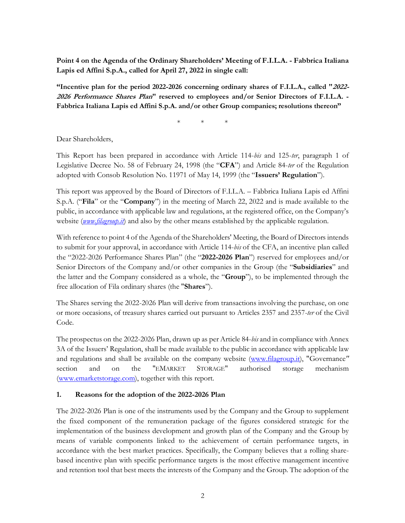**Point 4 on the Agenda of the Ordinary Shareholders' Meeting of F.I.L.A. - Fabbrica Italiana Lapis ed Affini S.p.A., called for April 27, 2022 in single call:**

**"Incentive plan for the period 2022-2026 concerning ordinary shares of F.I.L.A., called "2022- 2026 Performance Shares Plan" reserved to employees and/or Senior Directors of F.I.L.A. - Fabbrica Italiana Lapis ed Affini S.p.A. and/or other Group companies; resolutions thereon"**

\* \* \*

Dear Shareholders,

This Report has been prepared in accordance with Article 114-*bis* and 125-*ter*, paragraph 1 of Legislative Decree No. 58 of February 24, 1998 (the "**CFA**") and Article 84-*ter* of the Regulation adopted with Consob Resolution No. 11971 of May 14, 1999 (the "**Issuers' Regulation**").

This report was approved by the Board of Directors of F.I.L.A. – Fabbrica Italiana Lapis ed Affini S.p.A. ("**Fila**" or the "**Company**") in the meeting of March 22, 2022 and is made available to the public, in accordance with applicable law and regulations, at the registered office, on the Company's website (*www.filagroup.it*) and also by the other means established by the applicable regulation.

With reference to point 4 of the Agenda of the Shareholders' Meeting, the Board of Directors intends to submit for your approval, in accordance with Article 114-*bis* of the CFA, an incentive plan called the "2022-2026 Performance Shares Plan" (the "**2022-2026 Plan**") reserved for employees and/or Senior Directors of the Company and/or other companies in the Group (the "**Subsidiaries**" and the latter and the Company considered as a whole, the "**Group**"), to be implemented through the free allocation of Fila ordinary shares (the "**Shares**").

The Shares serving the 2022-2026 Plan will derive from transactions involving the purchase, on one or more occasions, of treasury shares carried out pursuant to Articles 2357 and 2357-*ter* of the Civil Code.

The prospectus on the 2022-2026 Plan, drawn up as per Article 84-*bis* and in compliance with Annex 3A of the Issuers' Regulation, shall be made available to the public in accordance with applicable law and regulations and shall be available on the company website (www.filagroup.it), "Governance*"*  section and on the "EMARKET STORAGE" authorised storage mechanism (www.emarketstorage.com), together with this report.

#### **1. Reasons for the adoption of the 2022-2026 Plan**

The 2022-2026 Plan is one of the instruments used by the Company and the Group to supplement the fixed component of the remuneration package of the figures considered strategic for the implementation of the business development and growth plan of the Company and the Group by means of variable components linked to the achievement of certain performance targets, in accordance with the best market practices. Specifically, the Company believes that a rolling sharebased incentive plan with specific performance targets is the most effective management incentive and retention tool that best meets the interests of the Company and the Group. The adoption of the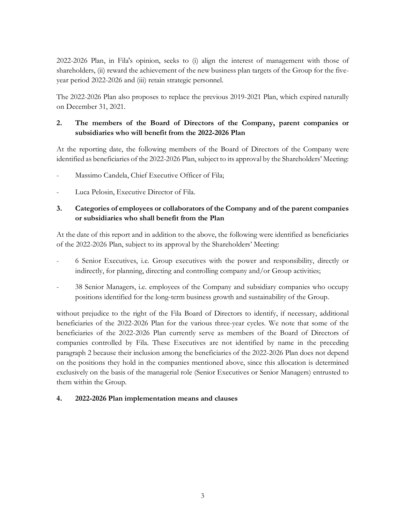2022-2026 Plan, in Fila's opinion, seeks to (i) align the interest of management with those of shareholders, (ii) reward the achievement of the new business plan targets of the Group for the fiveyear period 2022-2026 and (iii) retain strategic personnel.

The 2022-2026 Plan also proposes to replace the previous 2019-2021 Plan, which expired naturally on December 31, 2021.

# **2. The members of the Board of Directors of the Company, parent companies or subsidiaries who will benefit from the 2022-2026 Plan**

At the reporting date, the following members of the Board of Directors of the Company were identified as beneficiaries of the 2022-2026 Plan, subject to its approval by the Shareholders' Meeting:

- Massimo Candela, Chief Executive Officer of Fila;
- Luca Pelosin, Executive Director of Fila.

### **3. Categories of employees or collaborators of the Company and of the parent companies or subsidiaries who shall benefit from the Plan**

At the date of this report and in addition to the above, the following were identified as beneficiaries of the 2022-2026 Plan, subject to its approval by the Shareholders' Meeting:

- 6 Senior Executives, i.e. Group executives with the power and responsibility, directly or indirectly, for planning, directing and controlling company and/or Group activities;
- 38 Senior Managers, i.e. employees of the Company and subsidiary companies who occupy positions identified for the long-term business growth and sustainability of the Group.

without prejudice to the right of the Fila Board of Directors to identify, if necessary, additional beneficiaries of the 2022-2026 Plan for the various three-year cycles. We note that some of the beneficiaries of the 2022-2026 Plan currently serve as members of the Board of Directors of companies controlled by Fila. These Executives are not identified by name in the preceding paragraph 2 because their inclusion among the beneficiaries of the 2022-2026 Plan does not depend on the positions they hold in the companies mentioned above, since this allocation is determined exclusively on the basis of the managerial role (Senior Executives or Senior Managers) entrusted to them within the Group.

#### **4. 2022-2026 Plan implementation means and clauses**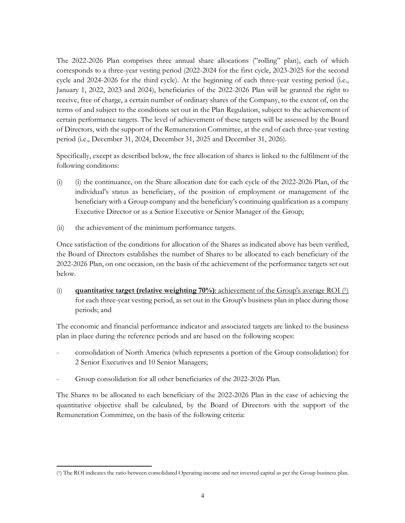The 2022-2026 Plan comprises three annual share allocations ("rolling" plan), each of which corresponds to a three-year vesting period (2022-2024 for the first cycle, 2023-2025 for the second cycle and 2024-2026 for the third cycle). At the beginning of each three-year vesting period (i.e., January 1, 2022, 2023 and 2024), beneficiaries of the 2022-2026 Plan will be granted the right to receive, free of charge, a certain number of ordinary shares of the Company, to the extent of, on the terms of and subject to the conditions set out in the Plan Regulation, subject to the achievement of certain performance targets. The level of achievement of these targets will be assessed by the Board of Directors, with the support of the Remuneration Committee, at the end of each three-year vesting period (i.e., December 31, 2024, December 31, 2025 and December 31, 2026).

Specifically, except as described below, the free allocation of shares is linked to the fulfilment of the following conditions:

- (i) (i) the continuance, on the Share allocation date for each cycle of the 2022-2026 Plan, of the individual's status as beneficiary, of the position of employment or management of the beneficiary with a Group company and the beneficiary's continuing qualification as a company Executive Director or as a Senior Executive or Senior Manager of the Group;
- (ii) the achievement of the minimum performance targets.

Once satisfaction of the conditions for allocation of the Shares as indicated above has been verified, the Board of Directors establishes the number of Shares to be allocated to each beneficiary of the 2022-2026 Plan, on one occasion, on the basis of the achievement of the performance targets set out below.

(i) **quantitative target (relative weighting 70%)**: achievement of the Group's average ROI (1) for each three-year vesting period, as set out in the Group's business plan in place during those periods; and

The economic and financial performance indicator and associated targets are linked to the business plan in place during the reference periods and are based on the following scopes:

- consolidation of North America (which represents a portion of the Group consolidation) for 2 Senior Executives and 10 Senior Managers;
- Group consolidation for all other beneficiaries of the 2022-2026 Plan.

<u>.</u>

The Shares to be allocated to each beneficiary of the 2022-2026 Plan in the case of achieving the quantitative objective shall be calculated, by the Board of Directors with the support of the Remuneration Committee, on the basis of the following criteria:

<sup>(1)</sup> The ROI indicates the ratio between consolidated Operating income and net invested capital as per the Group business plan.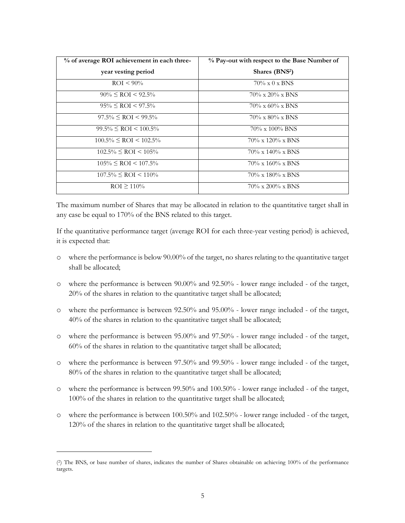| % of average ROI achievement in each three- | % Pay-out with respect to the Base Number of |
|---------------------------------------------|----------------------------------------------|
| year vesting period                         | Shares (BNS <sup>2</sup> )                   |
| $ROI < 90\%$                                | $70\% \times 0 \times BNS$                   |
| $90\% \leq$ ROI < 92.5%                     | $70\% \times 20\% \times BNS$                |
| $95\% \leq RCI \leq 97.5\%$                 | $70\% \times 60\% \times BNS$                |
| $97.5\% \leq ROI \leq 99.5\%$               | $70\% \times 80\% \times BNS$                |
| $99.5\% \leq$ ROI $\leq 100.5\%$            | $70\% \times 100\%$ BNS                      |
| $100.5\% \leq ROI \leq 102.5\%$             | $70\% \times 120\% \times BNS$               |
| $102.5\% \leq ROI \leq 105\%$               | $70\% \times 140\% \times BNS$               |
| $105\% \leq RCI \leq 107.5\%$               | $70\% \times 160\% \times BNS$               |
| $107.5\% \leq ROI \leq 110\%$               | $70\% \times 180\% \times BNS$               |
| $ROI \ge 110\%$                             | $70\% \times 200\% \times BNS$               |

The maximum number of Shares that may be allocated in relation to the quantitative target shall in any case be equal to 170% of the BNS related to this target.

If the quantitative performance target (average ROI for each three-year vesting period) is achieved, it is expected that:

- o where the performance is below 90.00% of the target, no shares relating to the quantitative target shall be allocated;
- o where the performance is between 90.00% and 92.50% lower range included of the target, 20% of the shares in relation to the quantitative target shall be allocated;
- o where the performance is between 92.50% and 95.00% lower range included of the target, 40% of the shares in relation to the quantitative target shall be allocated;
- o where the performance is between 95.00% and 97.50% lower range included of the target, 60% of the shares in relation to the quantitative target shall be allocated;
- o where the performance is between 97.50% and 99.50% lower range included of the target, 80% of the shares in relation to the quantitative target shall be allocated;
- o where the performance is between 99.50% and 100.50% lower range included of the target, 100% of the shares in relation to the quantitative target shall be allocated;
- o where the performance is between 100.50% and 102.50% lower range included of the target, 120% of the shares in relation to the quantitative target shall be allocated;

<u>.</u>

<sup>(2)</sup> The BNS, or base number of shares, indicates the number of Shares obtainable on achieving 100% of the performance targets.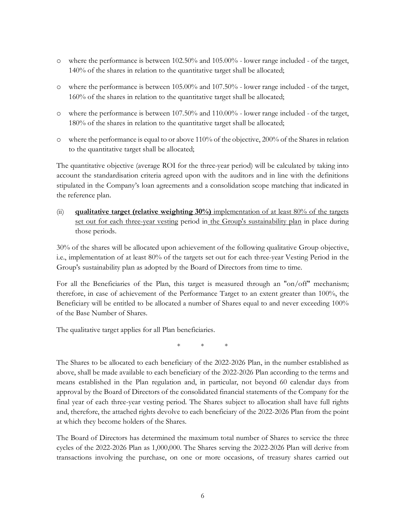- o where the performance is between 102.50% and 105.00% lower range included of the target, 140% of the shares in relation to the quantitative target shall be allocated;
- o where the performance is between 105.00% and 107.50% lower range included of the target, 160% of the shares in relation to the quantitative target shall be allocated;
- o where the performance is between 107.50% and 110.00% lower range included of the target, 180% of the shares in relation to the quantitative target shall be allocated;
- o where the performance is equal to or above 110% of the objective, 200% of the Shares in relation to the quantitative target shall be allocated;

The quantitative objective (average ROI for the three-year period) will be calculated by taking into account the standardisation criteria agreed upon with the auditors and in line with the definitions stipulated in the Company's loan agreements and a consolidation scope matching that indicated in the reference plan.

(ii) **qualitative target (relative weighting 30%)** implementation of at least 80% of the targets set out for each three-year vesting period in the Group's sustainability plan in place during those periods.

30% of the shares will be allocated upon achievement of the following qualitative Group objective, i.e., implementation of at least 80% of the targets set out for each three-year Vesting Period in the Group's sustainability plan as adopted by the Board of Directors from time to time.

For all the Beneficiaries of the Plan, this target is measured through an "on/off" mechanism; therefore, in case of achievement of the Performance Target to an extent greater than 100%, the Beneficiary will be entitled to be allocated a number of Shares equal to and never exceeding 100% of the Base Number of Shares.

The qualitative target applies for all Plan beneficiaries.

\* \* \*

The Shares to be allocated to each beneficiary of the 2022-2026 Plan, in the number established as above, shall be made available to each beneficiary of the 2022-2026 Plan according to the terms and means established in the Plan regulation and, in particular, not beyond 60 calendar days from approval by the Board of Directors of the consolidated financial statements of the Company for the final year of each three-year vesting period. The Shares subject to allocation shall have full rights and, therefore, the attached rights devolve to each beneficiary of the 2022-2026 Plan from the point at which they become holders of the Shares.

The Board of Directors has determined the maximum total number of Shares to service the three cycles of the 2022-2026 Plan as 1,000,000. The Shares serving the 2022-2026 Plan will derive from transactions involving the purchase, on one or more occasions, of treasury shares carried out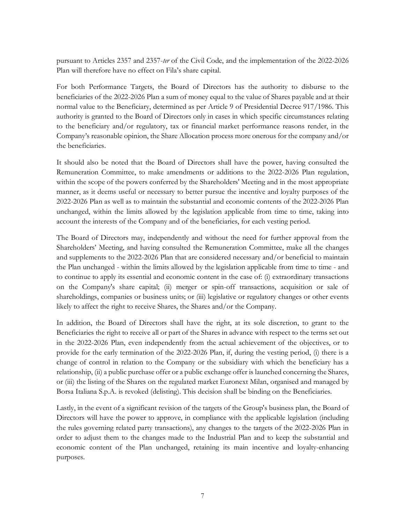pursuant to Articles 2357 and 2357-*ter* of the Civil Code, and the implementation of the 2022-2026 Plan will therefore have no effect on Fila's share capital.

For both Performance Targets, the Board of Directors has the authority to disburse to the beneficiaries of the 2022-2026 Plan a sum of money equal to the value of Shares payable and at their normal value to the Beneficiary, determined as per Article 9 of Presidential Decree 917/1986. This authority is granted to the Board of Directors only in cases in which specific circumstances relating to the beneficiary and/or regulatory, tax or financial market performance reasons render, in the Company's reasonable opinion, the Share Allocation process more onerous for the company and/or the beneficiaries.

It should also be noted that the Board of Directors shall have the power, having consulted the Remuneration Committee, to make amendments or additions to the 2022-2026 Plan regulation, within the scope of the powers conferred by the Shareholders' Meeting and in the most appropriate manner, as it deems useful or necessary to better pursue the incentive and loyalty purposes of the 2022-2026 Plan as well as to maintain the substantial and economic contents of the 2022-2026 Plan unchanged, within the limits allowed by the legislation applicable from time to time, taking into account the interests of the Company and of the beneficiaries, for each vesting period.

The Board of Directors may, independently and without the need for further approval from the Shareholders' Meeting, and having consulted the Remuneration Committee, make all the changes and supplements to the 2022-2026 Plan that are considered necessary and/or beneficial to maintain the Plan unchanged - within the limits allowed by the legislation applicable from time to time - and to continue to apply its essential and economic content in the case of: (i) extraordinary transactions on the Company's share capital; (ii) merger or spin-off transactions, acquisition or sale of shareholdings, companies or business units; or (iii) legislative or regulatory changes or other events likely to affect the right to receive Shares, the Shares and/or the Company.

In addition, the Board of Directors shall have the right, at its sole discretion, to grant to the Beneficiaries the right to receive all or part of the Shares in advance with respect to the terms set out in the 2022-2026 Plan, even independently from the actual achievement of the objectives, or to provide for the early termination of the 2022-2026 Plan, if, during the vesting period, (i) there is a change of control in relation to the Company or the subsidiary with which the beneficiary has a relationship, (ii) a public purchase offer or a public exchange offer is launched concerning the Shares, or (iii) the listing of the Shares on the regulated market Euronext Milan, organised and managed by Borsa Italiana S.p.A. is revoked (delisting). This decision shall be binding on the Beneficiaries.

Lastly, in the event of a significant revision of the targets of the Group's business plan, the Board of Directors will have the power to approve, in compliance with the applicable legislation (including the rules governing related party transactions), any changes to the targets of the 2022-2026 Plan in order to adjust them to the changes made to the Industrial Plan and to keep the substantial and economic content of the Plan unchanged, retaining its main incentive and loyalty-enhancing purposes.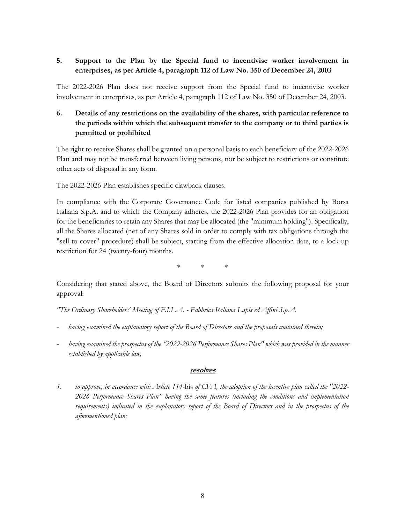# **5. Support to the Plan by the Special fund to incentivise worker involvement in enterprises, as per Article 4, paragraph 112 of Law No. 350 of December 24, 2003**

The 2022-2026 Plan does not receive support from the Special fund to incentivise worker involvement in enterprises, as per Article 4, paragraph 112 of Law No. 350 of December 24, 2003.

# **6. Details of any restrictions on the availability of the shares, with particular reference to the periods within which the subsequent transfer to the company or to third parties is permitted or prohibited**

The right to receive Shares shall be granted on a personal basis to each beneficiary of the 2022-2026 Plan and may not be transferred between living persons, nor be subject to restrictions or constitute other acts of disposal in any form.

The 2022-2026 Plan establishes specific clawback clauses.

In compliance with the Corporate Governance Code for listed companies published by Borsa Italiana S.p.A. and to which the Company adheres, the 2022-2026 Plan provides for an obligation for the beneficiaries to retain any Shares that may be allocated (the "minimum holding"). Specifically, all the Shares allocated (net of any Shares sold in order to comply with tax obligations through the "sell to cover" procedure) shall be subject, starting from the effective allocation date, to a lock-up restriction for 24 (twenty-four) months.

\* \* \*

Considering that stated above, the Board of Directors submits the following proposal for your approval:

*"The Ordinary Shareholders' Meeting of F.I.L.A. - Fabbrica Italiana Lapis ed Affini S.p.A.* 

- having examined the explanatory report of the Board of Directors and the proposals contained therein;
- *having examined the prospectus of the "2022-2026 Performance Shares Plan" which was provided in the manner established by applicable law,*

#### **resolves**

*1. to approve, in accordance with Article 114-*bis *of CFA, the adoption of the incentive plan called the "2022- 2026 Performance Shares Plan" having the same features (including the conditions and implementation requirements) indicated in the explanatory report of the Board of Directors and in the prospectus of the aforementioned plan;*